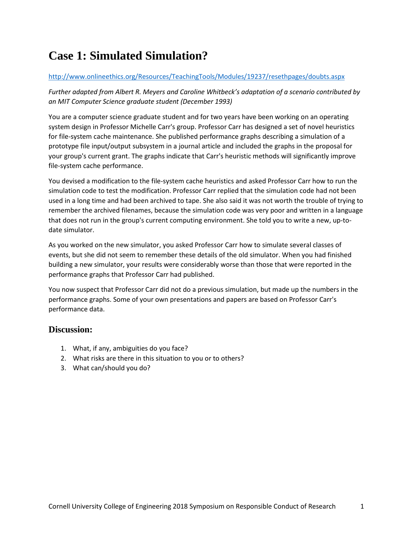# **Case 1: Simulated Simulation?**

#### <http://www.onlineethics.org/Resources/TeachingTools/Modules/19237/resethpages/doubts.aspx>

*Further adapted from Albert R. Meyers and Caroline Whitbeck's adaptation of a scenario contributed by an MIT Computer Science graduate student (December 1993)*

You are a computer science graduate student and for two years have been working on an operating system design in Professor Michelle Carr's group. Professor Carr has designed a set of novel heuristics for file-system cache maintenance. She published performance graphs describing a simulation of a prototype file input/output subsystem in a journal article and included the graphs in the proposal for your group's current grant. The graphs indicate that Carr's heuristic methods will significantly improve file-system cache performance.

You devised a modification to the file-system cache heuristics and asked Professor Carr how to run the simulation code to test the modification. Professor Carr replied that the simulation code had not been used in a long time and had been archived to tape. She also said it was not worth the trouble of trying to remember the archived filenames, because the simulation code was very poor and written in a language that does not run in the group's current computing environment. She told you to write a new, up-todate simulator.

As you worked on the new simulator, you asked Professor Carr how to simulate several classes of events, but she did not seem to remember these details of the old simulator. When you had finished building a new simulator, your results were considerably worse than those that were reported in the performance graphs that Professor Carr had published.

You now suspect that Professor Carr did not do a previous simulation, but made up the numbers in the performance graphs. Some of your own presentations and papers are based on Professor Carr's performance data.

#### **Discussion:**

- 1. What, if any, ambiguities do you face?
- 2. What risks are there in this situation to you or to others?
- 3. What can/should you do?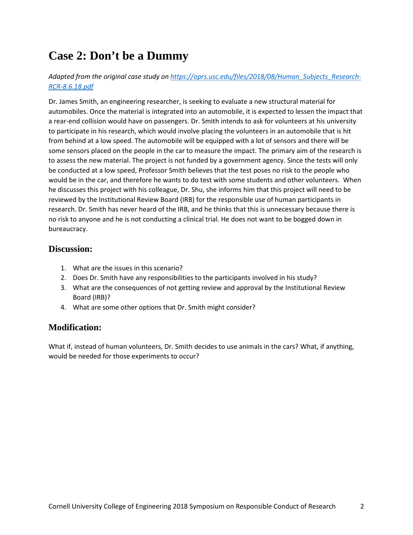### **Case 2: Don't be a Dummy**

*Adapted from the original case study o[n https://oprs.usc.edu/files/2018/08/Human\\_Subjects\\_Research-](https://oprs.usc.edu/files/2018/08/Human_Subjects_Research-RCR-8.6.18.pdf)[RCR-8.6.18.pdf](https://oprs.usc.edu/files/2018/08/Human_Subjects_Research-RCR-8.6.18.pdf)*

Dr. James Smith, an engineering researcher, is seeking to evaluate a new structural material for automobiles. Once the material is integrated into an automobile, it is expected to lessen the impact that a rear-end collision would have on passengers. Dr. Smith intends to ask for volunteers at his university to participate in his research, which would involve placing the volunteers in an automobile that is hit from behind at a low speed. The automobile will be equipped with a lot of sensors and there will be some sensors placed on the people in the car to measure the impact. The primary aim of the research is to assess the new material. The project is not funded by a government agency. Since the tests will only be conducted at a low speed, Professor Smith believes that the test poses no risk to the people who would be in the car, and therefore he wants to do test with some students and other volunteers. When he discusses this project with his colleague, Dr. Shu, she informs him that this project will need to be reviewed by the Institutional Review Board (IRB) for the responsible use of human participants in research. Dr. Smith has never heard of the IRB, and he thinks that this is unnecessary because there is no risk to anyone and he is not conducting a clinical trial. He does not want to be bogged down in bureaucracy.

#### **Discussion:**

- 1. What are the issues in this scenario?
- 2. Does Dr. Smith have any responsibilities to the participants involved in his study?
- 3. What are the consequences of not getting review and approval by the Institutional Review Board (IRB)?
- 4. What are some other options that Dr. Smith might consider?

### **Modification:**

What if, instead of human volunteers, Dr. Smith decides to use animals in the cars? What, if anything, would be needed for those experiments to occur?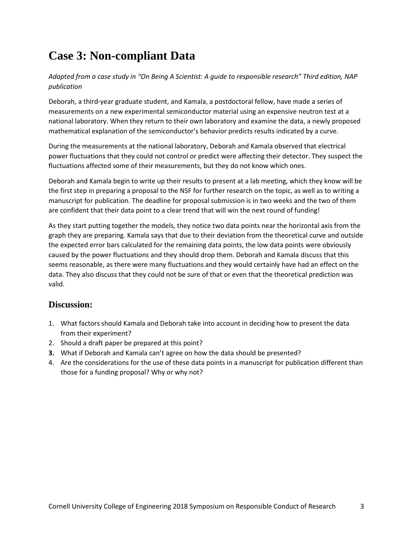# **Case 3: Non-compliant Data**

*Adapted from a case study in "On Being A Scientist: A guide to responsible research" Third edition, NAP publication*

Deborah, a third-year graduate student, and Kamala, a postdoctoral fellow, have made a series of measurements on a new experimental semiconductor material using an expensive neutron test at a national laboratory. When they return to their own laboratory and examine the data, a newly proposed mathematical explanation of the semiconductor's behavior predicts results indicated by a curve.

During the measurements at the national laboratory, Deborah and Kamala observed that electrical power fluctuations that they could not control or predict were affecting their detector. They suspect the fluctuations affected some of their measurements, but they do not know which ones.

Deborah and Kamala begin to write up their results to present at a lab meeting, which they know will be the first step in preparing a proposal to the NSF for further research on the topic, as well as to writing a manuscript for publication. The deadline for proposal submission is in two weeks and the two of them are confident that their data point to a clear trend that will win the next round of funding!

As they start putting together the models, they notice two data points near the horizontal axis from the graph they are preparing. Kamala says that due to their deviation from the theoretical curve and outside the expected error bars calculated for the remaining data points, the low data points were obviously caused by the power fluctuations and they should drop them. Deborah and Kamala discuss that this seems reasonable, as there were many fluctuations and they would certainly have had an effect on the data. They also discuss that they could not be sure of that or even that the theoretical prediction was valid.

### **Discussion:**

- 1. What factors should Kamala and Deborah take into account in deciding how to present the data from their experiment?
- 2. Should a draft paper be prepared at this point?
- **3.** What if Deborah and Kamala can't agree on how the data should be presented?
- 4. Are the considerations for the use of these data points in a manuscript for publication different than those for a funding proposal? Why or why not?